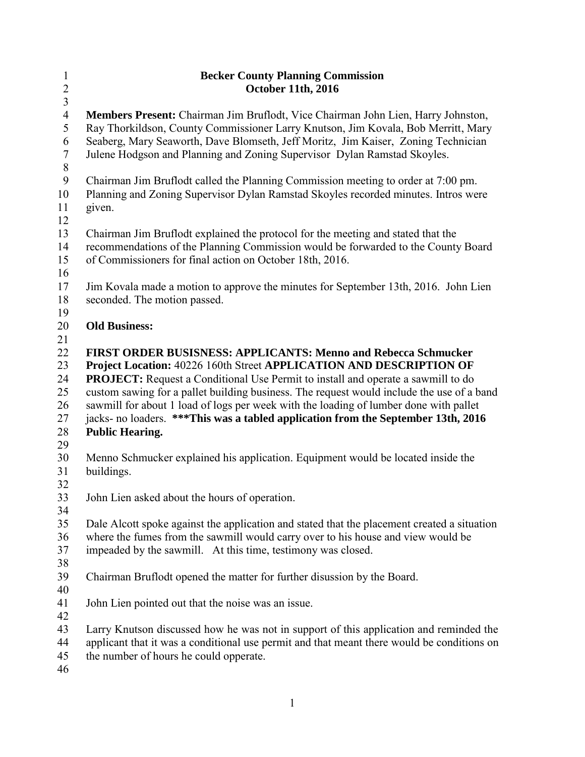| $\mathbf{1}$           | <b>Becker County Planning Commission</b>                                                       |
|------------------------|------------------------------------------------------------------------------------------------|
| $\sqrt{2}$             | <b>October 11th, 2016</b>                                                                      |
| $\overline{3}$         |                                                                                                |
| $\overline{4}$         | Members Present: Chairman Jim Bruflodt, Vice Chairman John Lien, Harry Johnston,               |
| 5                      | Ray Thorkildson, County Commissioner Larry Knutson, Jim Kovala, Bob Merritt, Mary              |
| 6                      | Seaberg, Mary Seaworth, Dave Blomseth, Jeff Moritz, Jim Kaiser, Zoning Technician              |
| $\tau$                 | Julene Hodgson and Planning and Zoning Supervisor Dylan Ramstad Skoyles.                       |
| $\,8\,$                |                                                                                                |
| $\boldsymbol{9}$<br>10 | Chairman Jim Bruflodt called the Planning Commission meeting to order at 7:00 pm.              |
| 11                     | Planning and Zoning Supervisor Dylan Ramstad Skoyles recorded minutes. Intros were             |
| 12                     | given.                                                                                         |
| 13                     | Chairman Jim Bruflodt explained the protocol for the meeting and stated that the               |
| 14                     | recommendations of the Planning Commission would be forwarded to the County Board              |
| 15                     | of Commissioners for final action on October 18th, 2016.                                       |
| 16                     |                                                                                                |
| 17                     | Jim Kovala made a motion to approve the minutes for September 13th, 2016. John Lien            |
| 18                     | seconded. The motion passed.                                                                   |
| 19                     |                                                                                                |
| 20                     | <b>Old Business:</b>                                                                           |
| 21                     |                                                                                                |
| 22                     | <b>FIRST ORDER BUSISNESS: APPLICANTS: Menno and Rebecca Schmucker</b>                          |
| 23                     | Project Location: 40226 160th Street APPLICATION AND DESCRIPTION OF                            |
| 24                     | <b>PROJECT:</b> Request a Conditional Use Permit to install and operate a sawmill to do        |
| 25                     | custom sawing for a pallet building business. The request would include the use of a band      |
| 26                     | sawmill for about 1 load of logs per week with the loading of lumber done with pallet          |
| 27                     | jacks- no loaders. ***This was a tabled application from the September 13th, 2016              |
| 28                     | <b>Public Hearing.</b>                                                                         |
| 29<br>30               |                                                                                                |
| 31                     | Menno Schmucker explained his application. Equipment would be located inside the<br>buildings. |
| 32                     |                                                                                                |
| 33                     | John Lien asked about the hours of operation.                                                  |
| 34                     |                                                                                                |
| 35                     | Dale Alcott spoke against the application and stated that the placement created a situation    |
| 36                     | where the fumes from the sawmill would carry over to his house and view would be               |
| 37                     | impeaded by the sawmill. At this time, testimony was closed.                                   |
| 38                     |                                                                                                |
| 39                     | Chairman Bruflodt opened the matter for further disussion by the Board.                        |
| 40                     |                                                                                                |
| 41                     | John Lien pointed out that the noise was an issue.                                             |
| 42                     |                                                                                                |
| 43                     | Larry Knutson discussed how he was not in support of this application and reminded the         |
| 44                     | applicant that it was a conditional use permit and that meant there would be conditions on     |
| 45                     | the number of hours he could opperate.                                                         |
| 46                     |                                                                                                |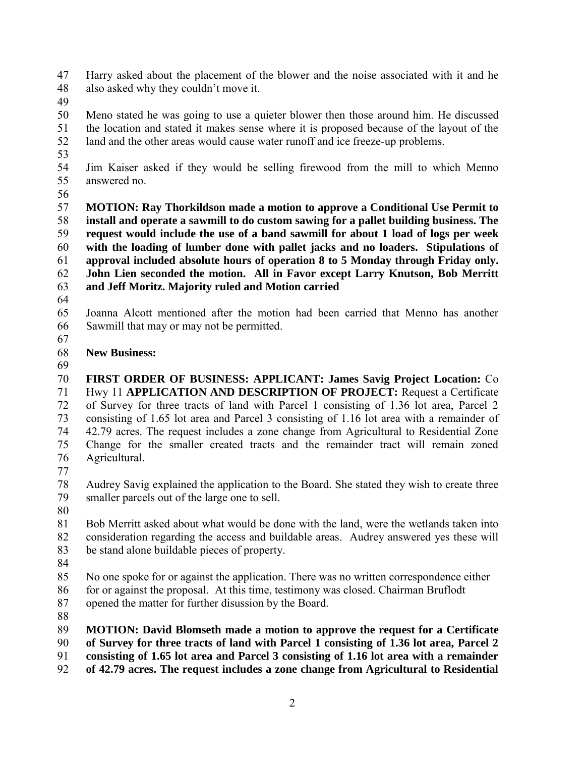Harry asked about the placement of the blower and the noise associated with it and he also asked why they couldn't move it.

 Meno stated he was going to use a quieter blower then those around him. He discussed the location and stated it makes sense where it is proposed because of the layout of the land and the other areas would cause water runoff and ice freeze-up problems.

 Jim Kaiser asked if they would be selling firewood from the mill to which Menno answered no.

 **MOTION: Ray Thorkildson made a motion to approve a Conditional Use Permit to install and operate a sawmill to do custom sawing for a pallet building business. The request would include the use of a band sawmill for about 1 load of logs per week with the loading of lumber done with pallet jacks and no loaders. Stipulations of approval included absolute hours of operation 8 to 5 Monday through Friday only. John Lien seconded the motion. All in Favor except Larry Knutson, Bob Merritt and Jeff Moritz. Majority ruled and Motion carried** 

 Joanna Alcott mentioned after the motion had been carried that Menno has another Sawmill that may or may not be permitted.

## **New Business:**

 **FIRST ORDER OF BUSINESS: APPLICANT: James Savig Project Location:** Co Hwy 11 **APPLICATION AND DESCRIPTION OF PROJECT:** Request a Certificate of Survey for three tracts of land with Parcel 1 consisting of 1.36 lot area, Parcel 2 consisting of 1.65 lot area and Parcel 3 consisting of 1.16 lot area with a remainder of 42.79 acres. The request includes a zone change from Agricultural to Residential Zone Change for the smaller created tracts and the remainder tract will remain zoned Agricultural.

Audrey Savig explained the application to the Board. She stated they wish to create three smaller parcels out of the large one to sell.

 Bob Merritt asked about what would be done with the land, were the wetlands taken into consideration regarding the access and buildable areas. Audrey answered yes these will be stand alone buildable pieces of property.

 No one spoke for or against the application. There was no written correspondence either for or against the proposal. At this time, testimony was closed. Chairman Bruflodt opened the matter for further disussion by the Board.

**MOTION: David Blomseth made a motion to approve the request for a Certificate** 

**of Survey for three tracts of land with Parcel 1 consisting of 1.36 lot area, Parcel 2** 

**consisting of 1.65 lot area and Parcel 3 consisting of 1.16 lot area with a remainder** 

**of 42.79 acres. The request includes a zone change from Agricultural to Residential**